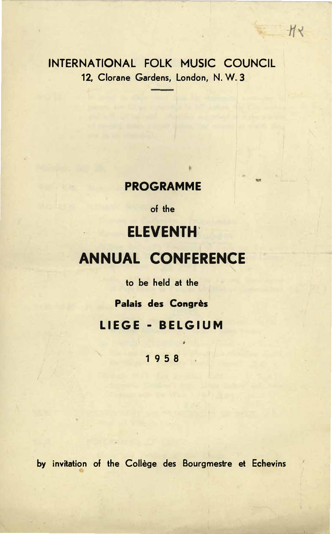# INTERNATIONAL FOLK MUSIC COUNCIL 12, Clorane Gardens, London, N.W.3

 $HY$ 

# **PROGRAMME**

of the

# **ELEVENTH**

# **ANNUAL CONFERENCE**

to be held at the

Palais des Congrès

LIEGE - BELGIUM

1958

by invitation of the Collège des Bourgmestre et Echevins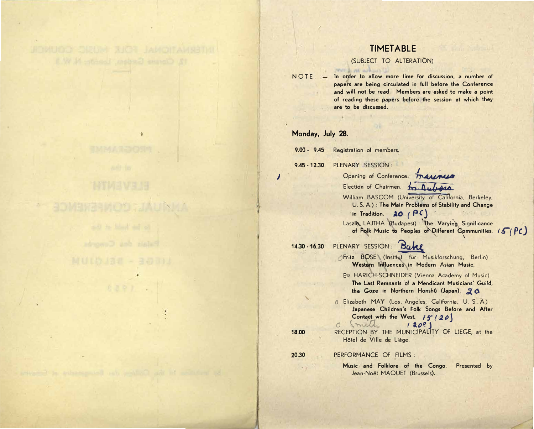# **TIMETABLE**

### (SUBJECT TO ALTERATION)

 $NOTE. -$ In order to allow more time for discussion, a number of papers are being circulated in full before the Conference and will not be read. Members are asked to make a point of reading these papers before the session at which they are to be discussed.

### Monday, July 28.

 $9.00 - 9.45$ Registration of members.

pour a mi achieve la

PLENARY SESSION:  $9.45 - 12.30$ 

18.00

 $\prime$ 

Opening of Conference. The

Election of Chairmen. 19. Au LACA

William BASCOM (University of California, Berkeley, U. S. A.): The Main Problems of Stability and Change in Tradition.  $30 (PC)$ 

Laszl& LAJTHA (Budapest) : The Varying Significance of Folk Music to Peoples of Different Communities.  $15/PC$ 

#### PLENARY SESSION: Bake  $14.30 - 16.30$

OFritz BOSE (Institut für Musikforschung, Berlin) : Western Influences in Modern Asian Music.

Eta HARICH-SCHNEIDER (Vienna Academy of Music) : The Last Remnants of a Mendicant Musicians' Guild, the Goze in Northern Honshû (Japan). 20

0 Elizabeth MAY (Los. Angeles, California, U. S..A.) : Japanese Children's Folk Songs Before and After Contact with the West. 15120

O Smith  $(802)$ RECEPTION BY THE MUNICIPALITY OF LIEGE, at the Hôtel de Ville de Liège.

20.30 PERFORMANCE OF FILMS:

> Music and Folklore of the Congo. Presented by Jean-Noël MAQUET (Brussels).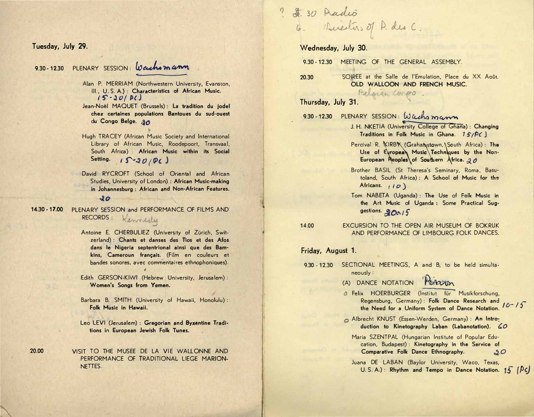Tuesday, July 29.

20.00

#### PLENARY SESSION: Wachomann  $9.30 - 12.30$

- Alan P. MERRIAM (Northwestern University, Evanston, III., U.S.A.) : Characteristics of African Music.  $15 - 20/P1$
- Jean-Noël MAQUET (Brussels) : La tradition du jodel chez certaines populations Bantoues du sud-ouest du Congo Belge. 90
- Hugh TRACEY (African Music Society and International Library of African Music, Roodepoort, Transvaal, South Africa) : African Music within its Social Setting.  $15 - 20$  /PC)
- David RYCROFT (School of Oriental and African Studies, University of London) : African Music-making in Johannesburg : African and Non-African Features.  $10$

 $14.30 - 17.00$ PLENARY SESSION and PERFORMANCE OF FILMS AND **RECORDS:** Kennedy

- Antoine E. CHERBULIEZ (University of Zürich, Switzerland) : Chants et danses des Tios et des Afos dans le Nigeria septentrional ainsi que des Bamkins, Cameroun français. (Film en couleurs et bandes sonores, avec commentaires ethnophoniques).
- Edith GERSON-KIWI (Hebrew University, Jerusalem): Women's Songs from Yemen.
- Barbara B. SMITH (University of Hawaii, Honolulu): Folk Music in Hawaii.

Leo LEVI (Jerusalem) : Gregorian and Byzantine Traditions in European Jewish Folk Tunes.

VISIT TO THE MUSEE DE LA VIE WALLONNE AND PERFORMANCE OF TRADITIONAL LIEGE MARION-NETTES.

9 \$ 30 Audio 6. Directors of P. des C

Wednesday, July 30.

 $9.30 - 12.30$ MEETING OF THE GENERAL ASSEMBLY.

SOIREE at the Salle de l'Emulation, Place du XX Août. 20.30 OLD WALLOON AND FRENCH MUSIC.

Pelosan Conero.

Thursday, July 31.

9.30-12.30 PLENARY SESSION: Wachsmann

- J. H. NKETIA (University College of Ghana) : Changing Traditions in Folk Music in Ghana. 15/PC)
- Percival R. KIRBK (Grahanstown, \South Africa): The Use of Eyropean Music Techniques by the Non-European Reoples of Southern Africa. 20
- Brother BASIL (St Theresa's Seminary, Roma, Basutoland. South Africa): A School of Music for the Africans.  $(10)$
- Tom NABETA (Uganda): The Use of Folk Music in the Art Music of Uganda : Some Practical Suggestions. 20015

14.00

#### EXCURSION TO THE OPEN AIR MUSEUM OF BOKRIJK AND PERFORMANCE OF LIMBOURG FOLK DANCES.

#### Friday, August 1.

- 9.30 12.30 SECTIONAL MEETINGS. A and B, to be held simultaneously:
	- (A) DANCE NOTATION: PRAZED
	- B Felix HOERBURGER (Institut für Musikforschung, Regensburg, Germany): Folk Dance Research and  $16 - 15$ the Need for a Uniform System of Dance Notation.
	- Albrecht KNUST (Essen-Werden, Germany) : An Introduction to Kinetography Laban (Labanotation). 60
		- Maria SZENTPAL (Hungarian Institute of Popular Education, Budapest): Kinetography in the Service of Comparative Folk Dance Ethnography.  $30$

Juana DE LABAN (Baylor University, Waco, Texas, U. S. A.): Rhythm and Tempo in Dance Notation.  $15$   $\beta c$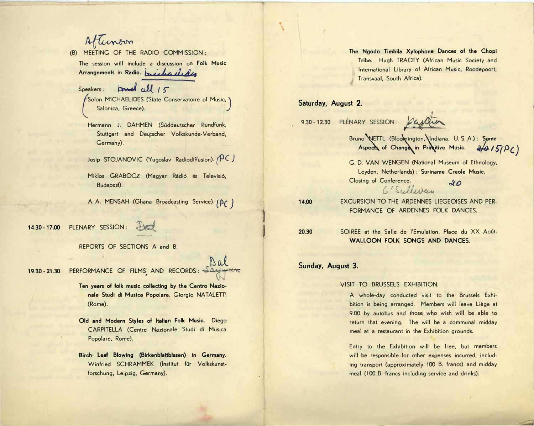Aftunoon

(B) MEETING OF THE RADIO COMMISSION : The session will include a discussion on Fol<mark>k Music</mark> Arrangements in Radio. bished that

Speakers : **found** cell 15  ${\binom{\text{Solon} \text{ MICHAELIDES (State Conservation of Music, 3}}{\text{Salonica, Greece)}}$ Salonica, Greece).

Hermann J. DAHMEN (Süddeutscher Rundfunk, Stuttgart and Deutscher Volkskunde-Verband, Germany).

Josip STOJANOVIC (Yugoslav Radiodiffusion). <sub>(</sub>PC )

Miklos GRABOCZ (Magyar Rádió és Televisió, Budapest).

A. A. MENSAH (Ghana Broadcasting Service).  $(\beta \zeta)$ 

*-*

 $\mathbf{\mathbf{I}}$ 

 $\mathcal{L}$ 

 $\mathsf{I}$ 

14.3 14.30 - 17.00 PLENARY SESSION : 1  $\overline{ }$ 

REPORTS OF SECTIONS A and B.

**19.30 - 21.30** 19.30 - 21.30 PERFORMANCE OF FILMS AND RECORDS : Say when

> Ten years of folk music collecting by the Centro Nazio-**<\$7,R FI+3R** Ub **IE8)%R =>=9\$@,R** 0\vxZcv @'J'k-JJ7 **nale Studi di Musica Popolare. Giorgio NATALETTI** (Rome).

> **Old and Modern Styles of Italian Folk Music.** Diego CARPITELLA (Centre Nazionale Studi di Musica Popolare, Rome).

**3@)2R ,\$0R 7=M3<1R 3B5,<(7\$H(7\$E,<R <R ,C:\$<NR Birch Leaf Blowing (Birkenblattblasen) In Germany.** Winfried SCHRAMMEK (Institut für Volkskunstforschung, Leipzig, Germany).

 **2,R 1=+=R 4:(37\$R "N7=>2=<,R '<),ER =/R F2,R 2=>3** The Ngodo Timbila Xylophone Dances of the Chopi Tribe. Hugh TRACEY (African Music Society and International Library of African Music, Roodepoort, Transvaal, South Africa).

# **Saturday, August 2.**

**9.30 - 12.3** 

9.30-12.30 PLENARY SESSION: Kujatin

Bruno WETTL (Bloomington, Indiana, U.S.A.): Some<br>**Aspects of Change in Primitive Music.**<br>2015/PC) Bruno WETTL (Bloomington, **\**Indiana, U. S. A.) : **Som**e Aspects of Change in Primitive Music. 2/0 / 5/p/

G. D. VAN WENGEN (National Museum of Ethnology, G. D. VAN WENGEN (National Museum of Ethnology,<br>Leyden, Netherlands) : <mark>Suriname Creole Music.</mark> )gv|\rZ vY )vrYVxVrSV - **Closing of Conference.** .4o *6 'Sidi<44,...*

14.00 14.00 **EXCURSION TO THE ARDENNES LIEGEOISES AND PER-**FORMANCE OF ARDENNES FOLK DANCES.

20.30 SOIREE at the Salle de l'Emulation, Place du XX Août. **!R R R R WALLOON FOLK SONGS AND DANCES.**

# **- Sunday, August 3.**

**20.30** 

VISIT TO BRUSSELS EXHIBITION.

A whole-day conducted visit to the Brussels Exhibition is being arranged. Members will leave Liège at 9.00 by autobus and those who wish will be able to return that evening. The will be a communal midday meal at a restaurant in the Exhibition grounds.

Entry to the Exhibition will be free, but members will be responsible for other expenses incurred, including transport (approximately 100 B. francs) and midday meal (100 B. francs including service and drinks).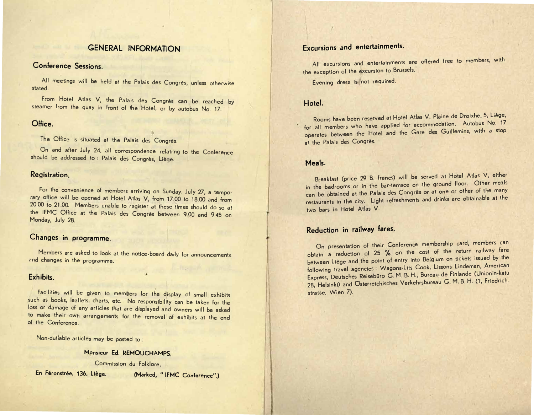# **GENERAL INFORMATION**

## Conference Sessions

All meetings will be held at the Palais des Congrès, unless otherwise stated.

From Hotel Atlas V, the Palais des Congrès can be reached by steamer from the quay in front of the Hotel, or by autobus No. 17.

# Office.

The Office is situated at the Palais des Congrès

On and after July 24, all correspondence relating to the Conference should be addressed to: Palais des Congrès, Liège.

### Registration.

For the convenience of members arriving on Sunday, July 27, a temporary office will be opened at Hotel Atlas V, from 17.00 to 18.00 and from 20.00 to 21.00. Members unable to register at these times should do so at the IFMC Office at the Palais des Congrès between 9.00 and 9.45 on Monday, July 28.

## Changes in programme.

Members are asked to look at the notice-board daily for announcements and changes in the programme.

### Exhibits.

Facilities will be given to members for the display of small exhibits such as books, leaflets, charts, etc. No responsibility can be taken for the loss or damage of any articles that are displayed and owners will be asked to make their own arrangements for the removal of exhibits at the end of the Conference

Non-dutiable articles may be posted to:

# Monsieur Ed. REMOUCHAMPS

Commission du Folklore.

En Féronstrée, 136, Liège.

(Marked, "IFMC Conference".)

# Excursions and entertainments.

All excursions and entertainments are offered free to members, with the exception of the excursion to Brussels.

Evening dress is not required.

# Hotel.

Rooms have been reserved at Hotel Atlas V, Plaine de Droixhe, 5, Liège, for all members who have applied for accommodation. Autobus No. 17 operates between the Hotel and the Gare des Guillemins, with a stop at the Palais des Congrès.

## Meals.

Breakfast (price 29 B. francs) will be served at Hotel Atlas V, either in the bedrooms or in the bar-terrace on the ground floor. Other meals can be obtained at the Palais des Congrès or at one or other of the many restaurants in the city. Light refreshments and drinks are obtainable at the two bars in Hotel Atlas V.

# Reduction in railway fares.

On presentation of their Conference membership card, members can obtain a reduction of 25 % on the cost of the return railway fare between Liège and the point of entry into Belgium on tickets issued by the following travel agencies : Wagons-Lits Cook, Lissons Lindeman, American Express. Deutsches Reisebüro G. M. B. H., Bureau de Finlande (Unionin-katu 28, Helsinki) and Osterreichisches Verkehrsbureau G. M. B. H. (1, Friedrichstrasse, Wien 7).